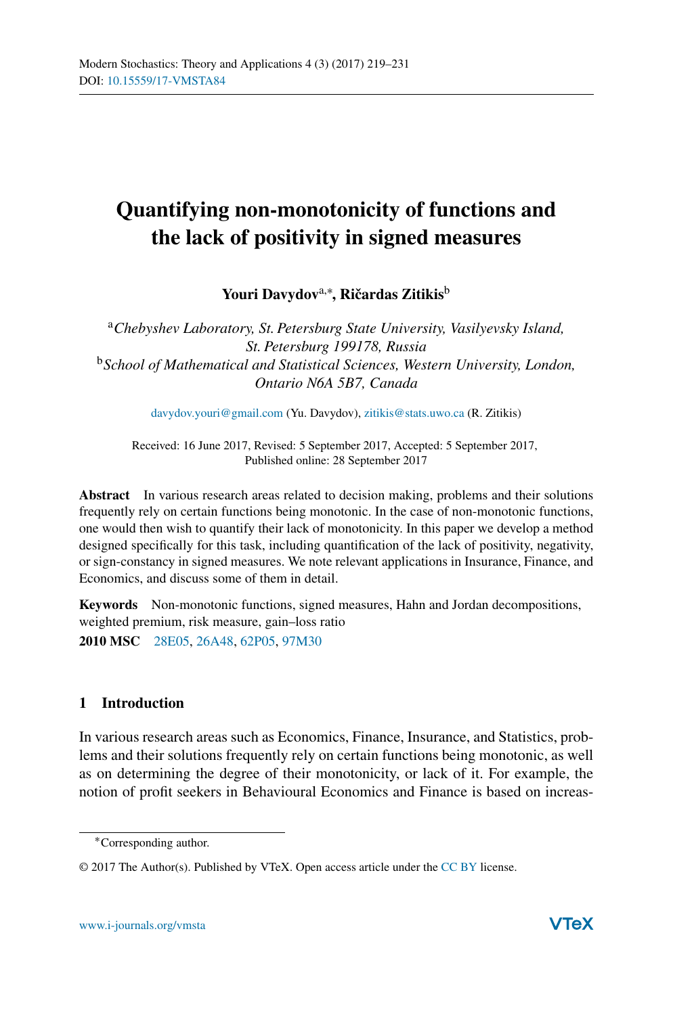# **Quantifying non-monotonicity of functions and the lack of positivity in signed measures**

Youri Davydov<sup>a,∗</sup>, Ričardas Zitikis<sup>b</sup>

<sup>a</sup>*Chebyshev Laboratory, St. Petersburg State University, Vasilyevsky Island, St. Petersburg 199178, Russia* <sup>b</sup>*School of Mathematical and Statistical Sciences, Western University, London, Ontario N6A 5B7, Canada*

[davydov.youri@gmail.com](mailto:davydov.youri@gmail.com) (Yu. Davydov), [zitikis@stats.uwo.ca](mailto:zitikis@stats.uwo.ca) (R. Zitikis)

Received: 16 June 2017, Revised: 5 September 2017, Accepted: 5 September 2017, Published online: 28 September 2017

**Abstract** In various research areas related to decision making, problems and their solutions frequently rely on certain functions being monotonic. In the case of non-monotonic functions, one would then wish to quantify their lack of monotonicity. In this paper we develop a method designed specifically for this task, including quantification of the lack of positivity, negativity, or sign-constancy in signed measures. We note relevant applications in Insurance, Finance, and Economics, and discuss some of them in detail.

**Keywords** Non-monotonic functions, signed measures, Hahn and Jordan decompositions, weighted premium, risk measure, gain–loss ratio **2010 MSC** [28E05,](http://www.ams.org/msc/msc2010.html?s=28E05) [26A48,](http://www.ams.org/msc/msc2010.html?s=26A48) [62P05,](http://www.ams.org/msc/msc2010.html?s=62P05) [97M30](http://www.ams.org/msc/msc2010.html?s=97M30)

# **1 Introduction**

In various research areas such as Economics, Finance, Insurance, and Statistics, problems and their solutions frequently rely on certain functions being monotonic, as well as on determining the degree of their monotonicity, or lack of it. For example, the notion of profit seekers in Behavioural Economics and Finance is based on increas-

<sup>∗</sup>Corresponding author.

<sup>© 2017</sup> The Author(s). Published by VTeX. Open access article under the [CC BY](http://creativecommons.org/licenses/by/4.0/) license.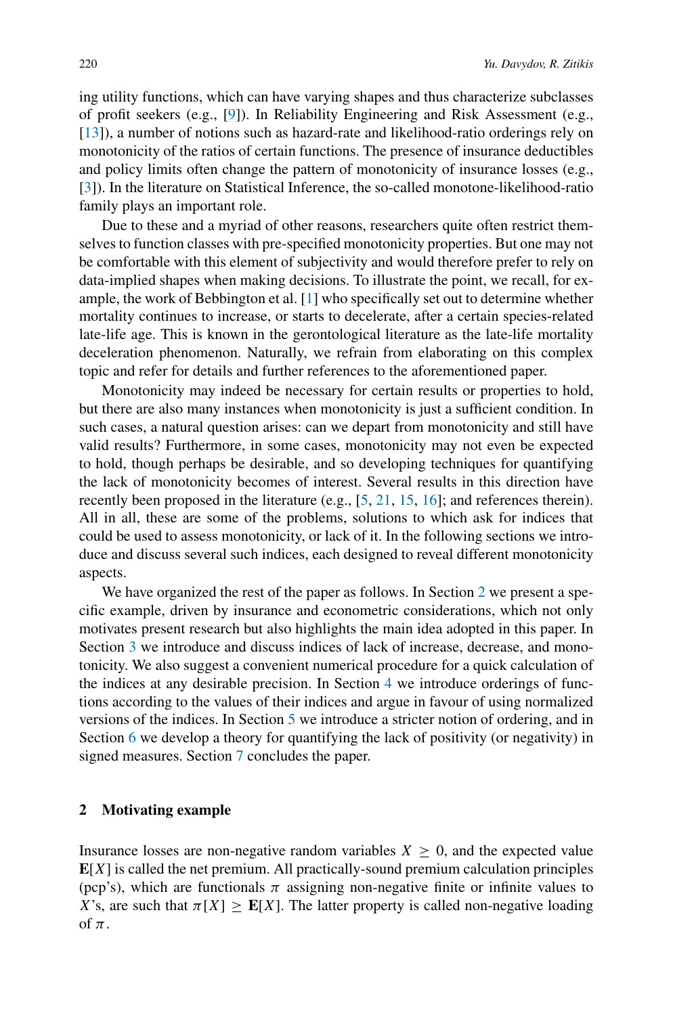ing utility functions, which can have varying shapes and thus characterize subclasses of profit seekers (e.g., [\[9\]](#page-12-0)). In Reliability Engineering and Risk Assessment (e.g., [\[13](#page-12-1)]), a number of notions such as hazard-rate and likelihood-ratio orderings rely on monotonicity of the ratios of certain functions. The presence of insurance deductibles and policy limits often change the pattern of monotonicity of insurance losses (e.g., [\[3](#page-11-0)]). In the literature on Statistical Inference, the so-called monotone-likelihood-ratio family plays an important role.

Due to these and a myriad of other reasons, researchers quite often restrict themselves to function classes with pre-specified monotonicity properties. But one may not be comfortable with this element of subjectivity and would therefore prefer to rely on data-implied shapes when making decisions. To illustrate the point, we recall, for example, the work of Bebbington et al. [\[1\]](#page-11-1) who specifically set out to determine whether mortality continues to increase, or starts to decelerate, after a certain species-related late-life age. This is known in the gerontological literature as the late-life mortality deceleration phenomenon. Naturally, we refrain from elaborating on this complex topic and refer for details and further references to the aforementioned paper.

Monotonicity may indeed be necessary for certain results or properties to hold, but there are also many instances when monotonicity is just a sufficient condition. In such cases, a natural question arises: can we depart from monotonicity and still have valid results? Furthermore, in some cases, monotonicity may not even be expected to hold, though perhaps be desirable, and so developing techniques for quantifying the lack of monotonicity becomes of interest. Several results in this direction have recently been proposed in the literature (e.g., [\[5,](#page-11-2) [21,](#page-12-2) [15,](#page-12-3) [16\]](#page-12-4); and references therein). All in all, these are some of the problems, solutions to which ask for indices that could be used to assess monotonicity, or lack of it. In the following sections we introduce and discuss several such indices, each designed to reveal different monotonicity aspects.

We have organized the rest of the paper as follows. In Section [2](#page-1-0) we present a specific example, driven by insurance and econometric considerations, which not only motivates present research but also highlights the main idea adopted in this paper. In Section [3](#page-4-0) we introduce and discuss indices of lack of increase, decrease, and monotonicity. We also suggest a convenient numerical procedure for a quick calculation of the indices at any desirable precision. In Section [4](#page-7-0) we introduce orderings of functions according to the values of their indices and argue in favour of using normalized versions of the indices. In Section [5](#page-9-0) we introduce a stricter notion of ordering, and in Section [6](#page-9-1) we develop a theory for quantifying the lack of positivity (or negativity) in signed measures. Section [7](#page-11-3) concludes the paper.

# <span id="page-1-0"></span>**2 Motivating example**

Insurance losses are non-negative random variables  $X \geq 0$ , and the expected value  $E[X]$  is called the net premium. All practically-sound premium calculation principles (pcp's), which are functionals  $\pi$  assigning non-negative finite or infinite values to *X*'s, are such that  $\pi[X] \geq E[X]$ . The latter property is called non-negative loading of *π*.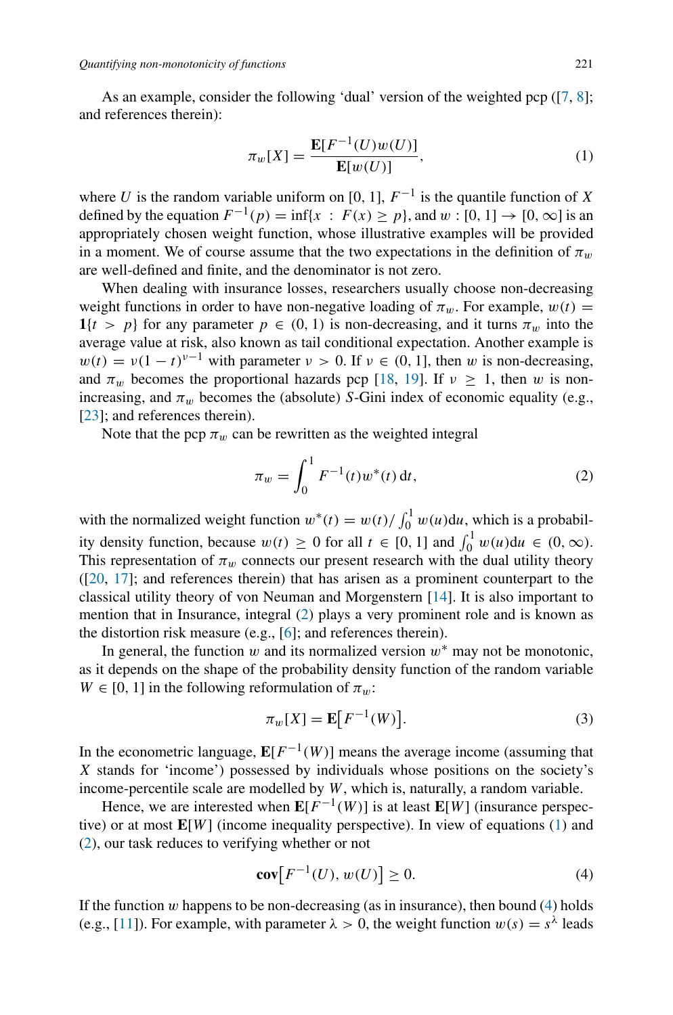As an example, consider the following 'dual' version of the weighted pcp  $(7, 8]$  $(7, 8]$  $(7, 8]$ ; and references therein):

<span id="page-2-1"></span>
$$
\pi_w[X] = \frac{\mathbf{E}[F^{-1}(U)w(U)]}{\mathbf{E}[w(U)]},
$$
\n(1)

where *U* is the random variable uniform on [0, 1],  $F^{-1}$  is the quantile function of *X* defined by the equation  $F^{-1}(p) = \inf\{x : F(x) \ge p\}$ , and  $w : [0, 1] \to [0, \infty]$  is an appropriately chosen weight function, whose illustrative examples will be provided in a moment. We of course assume that the two expectations in the definition of  $\pi_w$ are well-defined and finite, and the denominator is not zero.

When dealing with insurance losses, researchers usually choose non-decreasing weight functions in order to have non-negative loading of  $\pi_w$ . For example,  $w(t)$  =  $1\{t > p\}$  for any parameter  $p \in (0, 1)$  is non-decreasing, and it turns  $\pi_w$  into the average value at risk, also known as tail conditional expectation. Another example is  $w(t) = v(1 - t)^{v-1}$  with parameter  $v > 0$ . If  $v \in (0, 1]$ , then *w* is non-decreasing, and  $\pi_w$  becomes the proportional hazards pcp [\[18,](#page-12-5) [19\]](#page-12-6). If  $v \ge 1$ , then *w* is nonincreasing, and  $\pi_w$  becomes the (absolute) *S*-Gini index of economic equality (e.g., [\[23](#page-12-7)]; and references therein).

Note that the pcp  $\pi_w$  can be rewritten as the weighted integral

<span id="page-2-0"></span>
$$
\pi_w = \int_0^1 F^{-1}(t) w^*(t) dt,
$$
\n(2)

with the normalized weight function  $w^*(t) = w(t)/\int_0^1 w(u)du$ , which is a probability density function, because  $w(t) \ge 0$  for all  $t \in [0, 1]$  and  $\int_0^1 w(u) du \in (0, \infty)$ . This representation of  $\pi_w$  connects our present research with the dual utility theory ([\[20](#page-12-8), [17](#page-12-9)]; and references therein) that has arisen as a prominent counterpart to the classical utility theory of von Neuman and Morgenstern [\[14](#page-12-10)]. It is also important to mention that in Insurance, integral [\(2\)](#page-2-0) plays a very prominent role and is known as the distortion risk measure (e.g., [\[6](#page-11-6)]; and references therein).

In general, the function  $w$  and its normalized version  $w^*$  may not be monotonic, as it depends on the shape of the probability density function of the random variable  $W \in [0, 1]$  in the following reformulation of  $\pi_w$ :

<span id="page-2-3"></span>
$$
\pi_w[X] = \mathbf{E}\big[F^{-1}(W)\big].\tag{3}
$$

In the econometric language,  $\mathbf{E}[F^{-1}(W)]$  means the average income (assuming that *X* stands for 'income') possessed by individuals whose positions on the society's income-percentile scale are modelled by *W*, which is, naturally, a random variable.

Hence, we are interested when  $\mathbf{E}[F^{-1}(W)]$  is at least  $\mathbf{E}[W]$  (insurance perspective) or at most **E**[*W*] (income inequality perspective). In view of equations [\(1\)](#page-2-1) and [\(2\)](#page-2-0), our task reduces to verifying whether or not

<span id="page-2-2"></span>
$$
\operatorname{cov}[F^{-1}(U), w(U)] \ge 0. \tag{4}
$$

If the function  $w$  happens to be non-decreasing (as in insurance), then bound  $(4)$  holds (e.g., [\[11\]](#page-12-11)). For example, with parameter  $\lambda > 0$ , the weight function  $w(s) = s^{\lambda}$  leads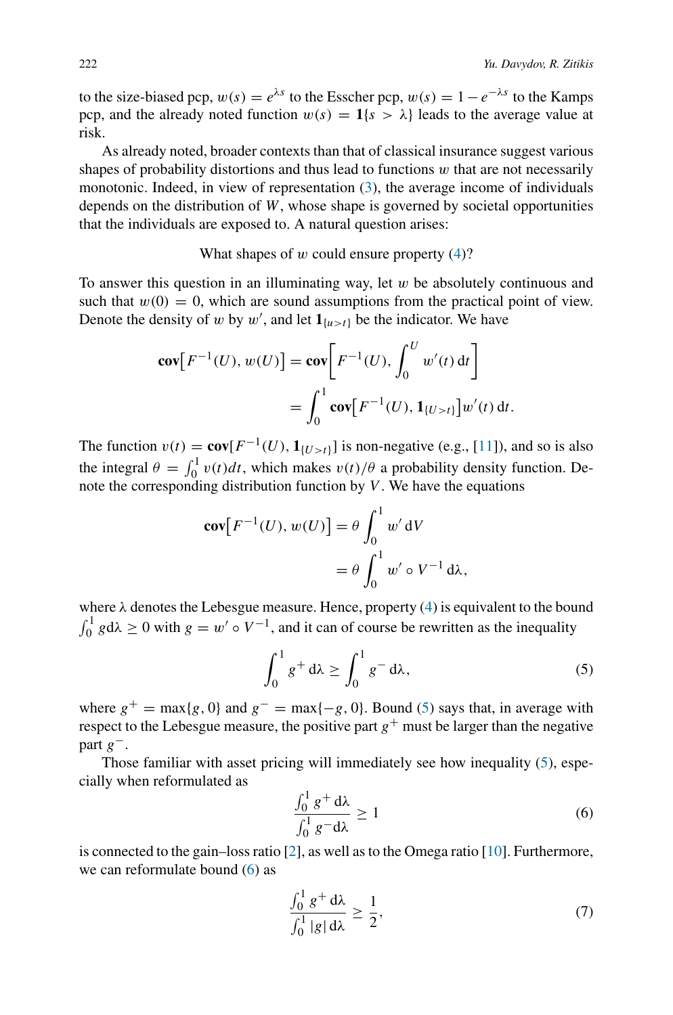to the size-biased pcp,  $w(s) = e^{\lambda s}$  to the Esscher pcp,  $w(s) = 1 - e^{-\lambda s}$  to the Kamps pcp, and the already noted function  $w(s) = 1\{s > \lambda\}$  leads to the average value at risk.

As already noted, broader contexts than that of classical insurance suggest various shapes of probability distortions and thus lead to functions *w* that are not necessarily monotonic. Indeed, in view of representation [\(3\)](#page-2-3), the average income of individuals depends on the distribution of *W*, whose shape is governed by societal opportunities that the individuals are exposed to. A natural question arises:

What shapes of *w* could ensure property [\(4\)](#page-2-2)?

To answer this question in an illuminating way, let *w* be absolutely continuous and such that  $w(0) = 0$ , which are sound assumptions from the practical point of view. Denote the density of *w* by *w'*, and let  $\mathbf{1}_{\{u>t\}}$  be the indicator. We have

$$
\mathbf{cov}[F^{-1}(U), w(U)] = \mathbf{cov}[F^{-1}(U), \int_0^U w'(t) dt]
$$
  
= 
$$
\int_0^1 \mathbf{cov}[F^{-1}(U), \mathbf{1}_{\{U > t\}}] w'(t) dt.
$$

The function  $v(t) = \mathbf{cov}[F^{-1}(U), \mathbf{1}_{\{U > t\}}]$  is non-negative (e.g., [\[11\]](#page-12-11)), and so is also the integral  $\theta = \int_0^1 v(t)dt$ , which makes  $v(t)/\theta$  a probability density function. Denote the corresponding distribution function by *V* . We have the equations

$$
\begin{aligned} \mathbf{cov}[F^{-1}(U), w(U)] &= \theta \int_0^1 w' \, \mathrm{d}V \\ &= \theta \int_0^1 w' \circ V^{-1} \, \mathrm{d}\lambda, \end{aligned}
$$

where  $\lambda$  denotes the Lebesgue measure. Hence, property [\(4\)](#page-2-2) is equivalent to the bound  $\int_0^1 g d\lambda \ge 0$  with  $g = w' \circ V^{-1}$ , and it can of course be rewritten as the inequality

<span id="page-3-0"></span>
$$
\int_0^1 g^+ d\lambda \ge \int_0^1 g^- d\lambda,\tag{5}
$$

where  $g^+$  = max{*g*, 0} and  $g^-$  = max{-*g*, 0}. Bound [\(5\)](#page-3-0) says that, in average with respect to the Lebesgue measure, the positive part  $g^+$  must be larger than the negative part *g*−.

Those familiar with asset pricing will immediately see how inequality [\(5\)](#page-3-0), especially when reformulated as

<span id="page-3-1"></span>
$$
\frac{\int_0^1 g^+ d\lambda}{\int_0^1 g^- d\lambda} \ge 1
$$
\n(6)

is connected to the gain–loss ratio [\[2](#page-11-7)], as well as to the Omega ratio [\[10](#page-12-12)]. Furthermore, we can reformulate bound [\(6\)](#page-3-1) as

<span id="page-3-2"></span>
$$
\frac{\int_0^1 g^+ \, d\lambda}{\int_0^1 |g| \, d\lambda} \ge \frac{1}{2},\tag{7}
$$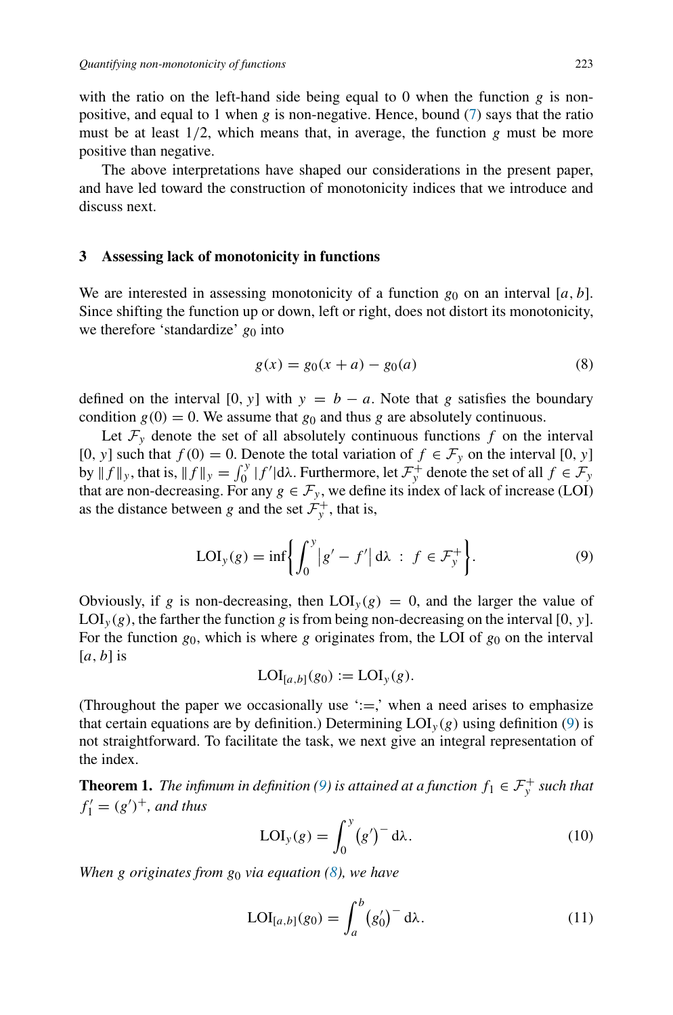with the ratio on the left-hand side being equal to 0 when the function  $g$  is nonpositive, and equal to 1 when *g* is non-negative. Hence, bound [\(7\)](#page-3-2) says that the ratio must be at least  $1/2$ , which means that, in average, the function  $g$  must be more positive than negative.

The above interpretations have shaped our considerations in the present paper, and have led toward the construction of monotonicity indices that we introduce and discuss next.

### <span id="page-4-0"></span>**3 Assessing lack of monotonicity in functions**

We are interested in assessing monotonicity of a function  $g_0$  on an interval [a, b]. Since shifting the function up or down, left or right, does not distort its monotonicity, we therefore 'standardize'  $g_0$  into

<span id="page-4-2"></span>
$$
g(x) = g_0(x+a) - g_0(a)
$$
 (8)

defined on the interval  $[0, y]$  with  $y = b - a$ . Note that *g* satisfies the boundary condition  $g(0) = 0$ . We assume that  $g_0$  and thus g are absolutely continuous.

Let  $\mathcal{F}_y$  denote the set of all absolutely continuous functions  $f$  on the interval [0*, y*] such that  $f(0) = 0$ . Denote the total variation of  $f \in \mathcal{F}_y$  on the interval [0*, y*] by  $|| f ||_y$ , that is,  $|| f ||_y = \int_0^y |f'| d\lambda$ . Furthermore, let  $\mathcal{F}_y^+$  denote the set of all  $f \in \mathcal{F}_y$ that are non-decreasing. For any  $g \in \mathcal{F}_y$ , we define its index of lack of increase (LOI) as the distance between *g* and the set  $\mathcal{F}_y^+$ , that is,

<span id="page-4-1"></span>
$$
LOI_{y}(g) = \inf \left\{ \int_{0}^{y} |g' - f'| d\lambda : f \in \mathcal{F}_{y}^{+} \right\}.
$$
 (9)

Obviously, if *g* is non-decreasing, then  $LOI_v(g) = 0$ , and the larger the value of  $\text{LOI}_y(g)$ , the farther the function g is from being non-decreasing on the interval [0, y]. For the function  $g_0$ , which is where  $g$  originates from, the LOI of  $g_0$  on the interval [*a,b*] is

$$
LOI_{[a,b]}(g_0) := LOI_{y}(g).
$$

(Throughout the paper we occasionally use  $\dot{ }:=\dot{ }$ , when a need arises to emphasize that certain equations are by definition.) Determining  $LOI_v(g)$  using definition [\(9\)](#page-4-1) is not straightforward. To facilitate the task, we next give an integral representation of the index.

<span id="page-4-3"></span>**Theorem 1.** *The infimum in definition* [\(9\)](#page-4-1) *is attained at a function*  $f_1 \in \mathcal{F}^+_y$  *such that*  $f'_1 = (g')^+$ *, and thus* 

$$
LOI_{y}(g) = \int_{0}^{y} (g')^{-} d\lambda.
$$
 (10)

*When g originates from g*<sup>0</sup> *via equation [\(8\)](#page-4-2), we have*

$$
LOI_{[a,b]}(g_0) = \int_a^b (g'_0)^- d\lambda.
$$
 (11)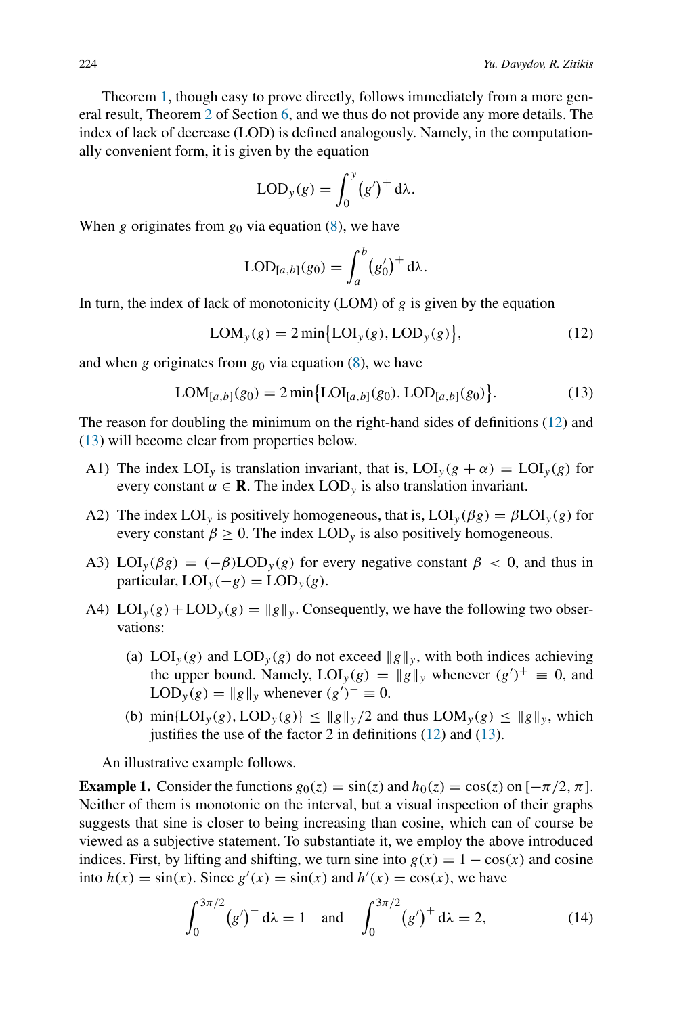Theorem [1,](#page-4-3) though easy to prove directly, follows immediately from a more general result, Theorem [2](#page-10-0) of Section [6,](#page-9-1) and we thus do not provide any more details. The index of lack of decrease (LOD) is defined analogously. Namely, in the computationally convenient form, it is given by the equation

$$
LOD_{y}(g) = \int_{0}^{y} (g')^{+} d\lambda.
$$

When *g* originates from  $g_0$  via equation [\(8\)](#page-4-2), we have

$$
\text{LOD}_{[a,b]}(g_0) = \int_a^b (g'_0)^+ d\lambda.
$$

In turn, the index of lack of monotonicity (LOM) of *g* is given by the equation

<span id="page-5-0"></span>
$$
LOM_{y}(g) = 2 \min\{LOI_{y}(g), LOD_{y}(g)\},\tag{12}
$$

and when *g* originates from *g*<sup>0</sup> via equation [\(8\)](#page-4-2), we have

<span id="page-5-1"></span>
$$
LOM_{[a,b]}(g_0) = 2 \min \{ LOI_{[a,b]}(g_0), LOD_{[a,b]}(g_0) \}.
$$
 (13)

The reason for doubling the minimum on the right-hand sides of definitions [\(12\)](#page-5-0) and [\(13\)](#page-5-1) will become clear from properties below.

- A1) The index LOI<sub>*y*</sub> is translation invariant, that is, LOI<sub>*y*</sub>( $g + \alpha$ ) = LOI<sub>*y*</sub>( $g$ ) for every constant  $\alpha \in \mathbf{R}$ . The index LOD<sub>*y*</sub> is also translation invariant.
- A2) The index LOI<sub>*y*</sub> is positively homogeneous, that is,  $LOI_v(\beta g) = \beta LOI_v(g)$  for every constant  $\beta > 0$ . The index LOD<sub>*y*</sub> is also positively homogeneous.
- A3) LOI<sub>*y*</sub>( $\beta g$ ) =  $(-\beta)$ LOD<sub>*y*</sub>( $g$ ) for every negative constant  $\beta$  < 0, and thus in  $particular, LOI<sub>y</sub>(-g) = LOD<sub>y</sub>(g).$
- A4)  $LOI_v(g) + LOD_v(g) = ||g||_v$ . Consequently, we have the following two observations:
	- (a)  $LOI_y(g)$  and  $LOD_y(g)$  do not exceed  $||g||_y$ , with both indices achieving the upper bound. Namely,  $LOI_y(g) = ||g||_y$  whenever  $(g')^+ \equiv 0$ , and  $\text{LOD}_y(g) = ||g||_y$  whenever  $(g')^{-} \equiv 0$ .
	- (b)  $\min\{LOI_y(g),\text{LOD}_y(g)\}\leq \|g\|_y/2$  and thus  $LOM_y(g)\leq \|g\|_y$ , which justifies the use of the factor 2 in definitions [\(12\)](#page-5-0) and [\(13\)](#page-5-1).

An illustrative example follows.

<span id="page-5-2"></span>**Example 1.** Consider the functions  $g_0(z) = \sin(z)$  and  $h_0(z) = \cos(z)$  on  $[-\pi/2, \pi]$ . Neither of them is monotonic on the interval, but a visual inspection of their graphs suggests that sine is closer to being increasing than cosine, which can of course be viewed as a subjective statement. To substantiate it, we employ the above introduced indices. First, by lifting and shifting, we turn sine into  $g(x) = 1 - \cos(x)$  and cosine into  $h(x) = \sin(x)$ . Since  $g'(x) = \sin(x)$  and  $h'(x) = \cos(x)$ , we have

<span id="page-5-3"></span>
$$
\int_0^{3\pi/2} (g')^{-} d\lambda = 1 \quad \text{and} \quad \int_0^{3\pi/2} (g')^{+} d\lambda = 2,
$$
 (14)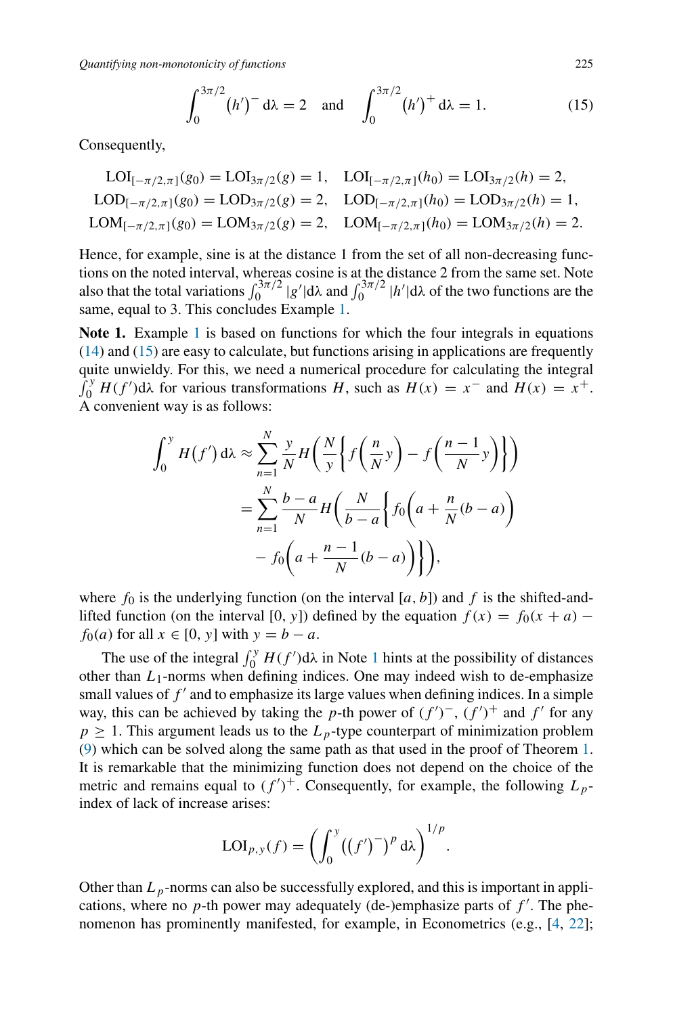*Quantifying non-monotonicity of functions* 225

<span id="page-6-0"></span>
$$
\int_0^{3\pi/2} (h')^{-} d\lambda = 2 \text{ and } \int_0^{3\pi/2} (h')^{+} d\lambda = 1.
$$
 (15)

Consequently,

$$
LOI_{[-\pi/2,\pi]}(g_0) = LOI_{3\pi/2}(g) = 1, \quad LOI_{[-\pi/2,\pi]}(h_0) = LOI_{3\pi/2}(h) = 2,
$$
  
\n
$$
LOD_{[-\pi/2,\pi]}(g_0) = LOD_{3\pi/2}(g) = 2, \quad LOD_{[-\pi/2,\pi]}(h_0) = LOD_{3\pi/2}(h) = 1,
$$
  
\n
$$
LOM_{[-\pi/2,\pi]}(g_0) = LOM_{3\pi/2}(g) = 2, \quad LOM_{[-\pi/2,\pi]}(h_0) = LOM_{3\pi/2}(h) = 2.
$$

Hence, for example, sine is at the distance 1 from the set of all non-decreasing functions on the noted interval, whereas cosine is at the distance 2 from the same set. Note also that the total variations  $\int_0^{3\pi/2} |g'| d\lambda$  and  $\int_0^{3\pi/2} |h'| d\lambda$  of the two functions are the same, equal to 3. This concludes Example [1.](#page-5-2)

<span id="page-6-1"></span>Note [1](#page-5-2). Example 1 is based on functions for which the four integrals in equations [\(14\)](#page-5-3) and [\(15\)](#page-6-0) are easy to calculate, but functions arising in applications are frequently quite unwieldy. For this, we need a numerical procedure for calculating the integral  $\int_0^y H(f') d\lambda$  for various transformations *H*, such as  $H(x) = x^-$  and  $H(x) = x^+$ . A convenient way is as follows:

$$
\int_0^y H(f') d\lambda \approx \sum_{n=1}^N \frac{y}{N} H\left(\frac{N}{y} \left\{ f\left(\frac{n}{N}y\right) - f\left(\frac{n-1}{N}y\right) \right\} \right)
$$
  
= 
$$
\sum_{n=1}^N \frac{b-a}{N} H\left(\frac{N}{b-a} \left\{ f_0 \left(a + \frac{n}{N}(b-a)\right) - f_0 \left(a + \frac{n-1}{N}(b-a)\right) \right\} \right),
$$

where  $f_0$  is the underlying function (on the interval  $[a, b]$ ) and  $f$  is the shifted-andlifted function (on the interval [0, y]) defined by the equation  $f(x) = f_0(x + a)$ *f*<sub>0</sub> $(a)$  for all  $x \in [0, y]$  with  $y = b - a$ .

The use of the integral  $\int_0^y H(f') d\lambda$  in Note [1](#page-6-1) hints at the possibility of distances other than  $L_1$ -norms when defining indices. One may indeed wish to de-emphasize small values of  $f'$  and to emphasize its large values when defining indices. In a simple way, this can be achieved by taking the *p*-th power of  $(f')^-$ ,  $(f')^+$  and  $f'$  for any  $p \geq 1$ . This argument leads us to the  $L_p$ -type counterpart of minimization problem [\(9\)](#page-4-1) which can be solved along the same path as that used in the proof of Theorem [1.](#page-4-3) It is remarkable that the minimizing function does not depend on the choice of the metric and remains equal to  $(f')^+$ . Consequently, for example, the following  $L_p$ index of lack of increase arises:

$$
LOI_{p,y}(f) = \left(\int_0^y ((f')^{-})^p d\lambda\right)^{1/p}.
$$

Other than  $L_p$ -norms can also be successfully explored, and this is important in applications, where no  $p$ -th power may adequately (de-)emphasize parts of  $f'$ . The phenomenon has prominently manifested, for example, in Econometrics (e.g., [\[4](#page-11-8), [22](#page-12-13)];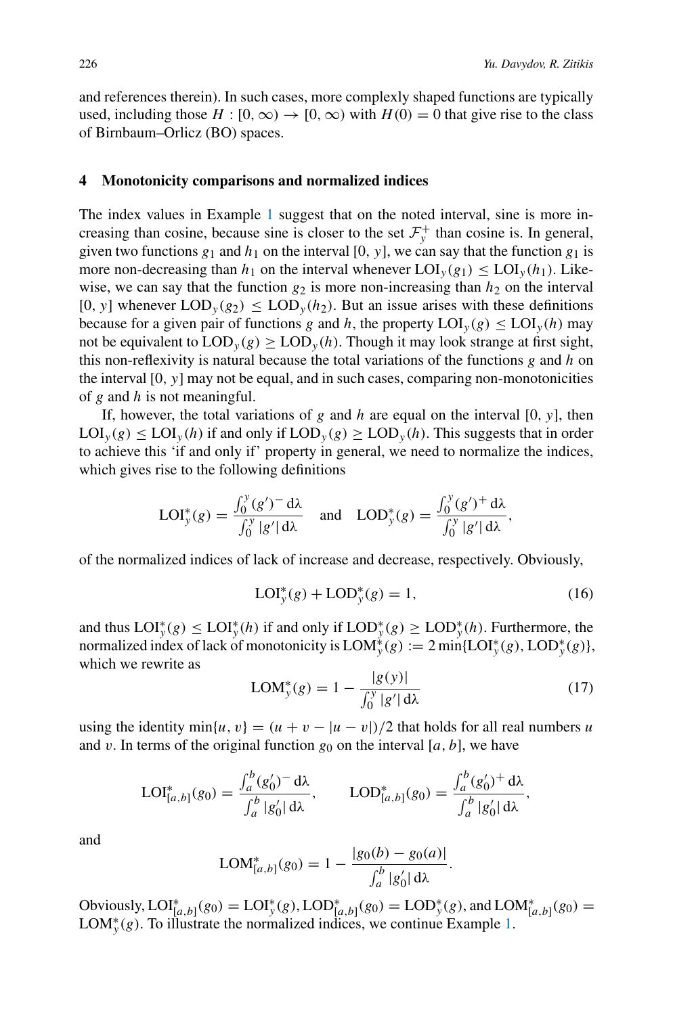and references therein). In such cases, more complexly shaped functions are typically used, including those  $H : [0, \infty) \to [0, \infty)$  with  $H(0) = 0$  that give rise to the class of Birnbaum–Orlicz (BO) spaces.

#### <span id="page-7-0"></span>**4 Monotonicity comparisons and normalized indices**

The index values in Example [1](#page-5-2) suggest that on the noted interval, sine is more increasing than cosine, because sine is closer to the set  $\mathcal{F}_y^+$  than cosine is. In general, given two functions  $g_1$  and  $h_1$  on the interval [0, y], we can say that the function  $g_1$  is more non-decreasing than  $h_1$  on the interval whenever  $\text{LOI}_y(g_1) \leq \text{LOI}_y(h_1)$ . Likewise, we can say that the function  $g_2$  is more non-increasing than  $h_2$  on the interval  $[0, y]$  whenever  $\text{LOD}_y(g_2) \leq \text{LOD}_y(h_2)$ . But an issue arises with these definitions because for a given pair of functions *g* and *h*, the property  $LOI_y(g) \leq LOI_y(h)$  may not be equivalent to  $\text{LOD}_y(g) \geq \text{LOD}_y(h)$ . Though it may look strange at first sight, this non-reflexivity is natural because the total variations of the functions *g* and *h* on the interval [0*,y*] may not be equal, and in such cases, comparing non-monotonicities of *g* and *h* is not meaningful.

If, however, the total variations of *g* and *h* are equal on the interval [0*,y*], then  $\text{LOI}_y(g) \leq \text{LOI}_y(h)$  if and only if  $\text{LOD}_y(g) \geq \text{LOD}_y(h)$ . This suggests that in order to achieve this 'if and only if' property in general, we need to normalize the indices, which gives rise to the following definitions

$$
LOI_y^*(g) = \frac{\int_0^y (g')^{\dagger} d\lambda}{\int_0^y |g'| d\lambda} \quad \text{and} \quad \text{LOD}_y^*(g) = \frac{\int_0^y (g')^{\dagger} d\lambda}{\int_0^y |g'| d\lambda},
$$

of the normalized indices of lack of increase and decrease, respectively. Obviously,

<span id="page-7-2"></span>
$$
LOI_y^*(g) + LOD_y^*(g) = 1,
$$
\n(16)

and thus  $LOI_y^*(g) \leq LOI_y^*(h)$  if and only if  $LOD_y^*(g) \geq LOD_y^*(h)$ . Furthermore, the normalized index of lack of monotonicity is  $LOM_y^*(g) := 2 \min\{LOI_y^*(g), LOD_y^*(g)\},$ which we rewrite as

<span id="page-7-3"></span>
$$
LOM_{y}^{*}(g) = 1 - \frac{|g(y)|}{\int_{0}^{y} |g'| d\lambda}
$$
 (17)

using the identity min{*u*, *v*} =  $(u + v - |u - v|)/2$  that holds for all real numbers *u* and *v*. In terms of the original function  $g_0$  on the interval [*a*, *b*], we have

$$
LOI_{[a,b]}^*(g_0) = \frac{\int_a^b (g'_0)^- d\lambda}{\int_a^b |g'_0| d\lambda}, \qquad \text{LOD}_{[a,b]}^*(g_0) = \frac{\int_a^b (g'_0)^+ d\lambda}{\int_a^b |g'_0| d\lambda},
$$

and

$$
LOM_{[a,b]}^{*}(g_0) = 1 - \frac{|g_0(b) - g_0(a)|}{\int_a^b |g'_0| d\lambda}.
$$

<span id="page-7-1"></span>Obviously,  $LOI^*_{[a,b]}(g_0) = LOI^*_{y}(g)$ ,  $LOD^*_{[a,b]}(g_0) = LOD^*_{y}(g)$ , and  $LOM^*_{[a,b]}(g_0) =$ LOM<sup>\*</sup><sub>y</sub>(g). To illustrate the normalized indices, we continue Example [1.](#page-5-2)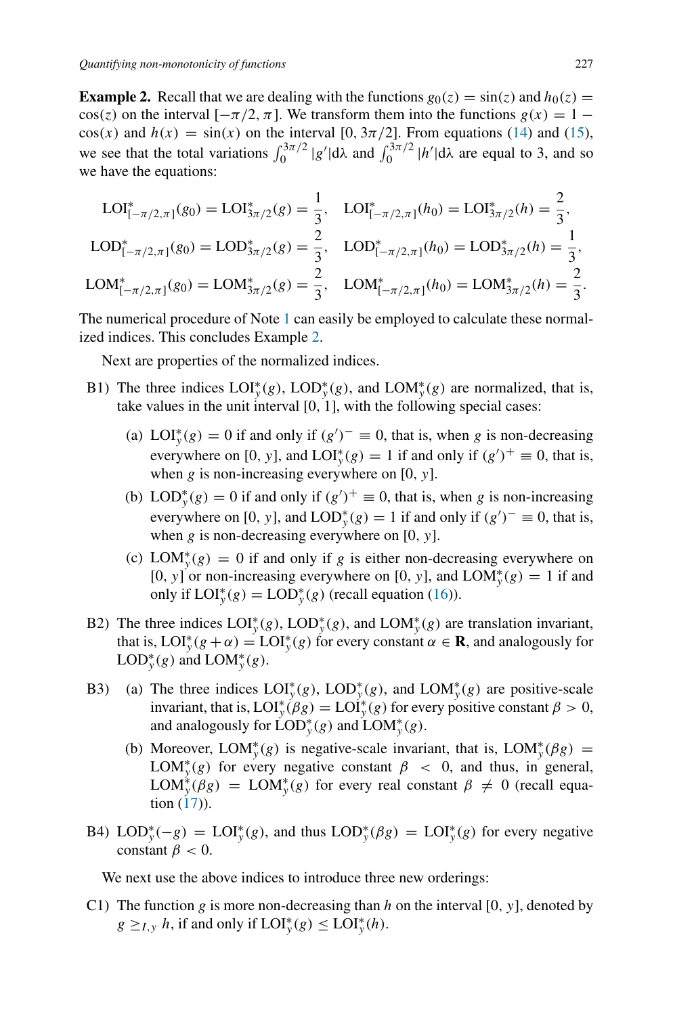**Example 2.** Recall that we are dealing with the functions  $g_0(z) = \sin(z)$  and  $h_0(z) =$  $cos(z)$  on the interval  $[-\pi/2, \pi]$ . We transform them into the functions  $g(x) = 1$  $cos(x)$  and  $h(x) = sin(x)$  on the interval [0,  $3\pi/2$ ]. From equations [\(14\)](#page-5-3) and [\(15\)](#page-6-0), we see that the total variations  $\int_0^{3\pi/2} |g'| d\lambda$  and  $\int_0^{3\pi/2} |h'| d\lambda$  are equal to 3, and so we have the equations:

$$
LOI_{[-\pi/2,\pi]}^{*}(g_0) = LOI_{3\pi/2}^{*}(g) = \frac{1}{3}, \quad LOI_{[-\pi/2,\pi]}^{*}(h_0) = LOI_{3\pi/2}^{*}(h) = \frac{2}{3},
$$
  
\n
$$
LOD_{[-\pi/2,\pi]}^{*}(g_0) = LOD_{3\pi/2}^{*}(g) = \frac{2}{3}, \quad LOD_{[-\pi/2,\pi]}^{*}(h_0) = LOD_{3\pi/2}^{*}(h) = \frac{1}{3},
$$
  
\n
$$
LOM_{[-\pi/2,\pi]}^{*}(g_0) = LOM_{3\pi/2}^{*}(g) = \frac{2}{3}, \quad LOM_{[-\pi/2,\pi]}^{*}(h_0) = LOM_{3\pi/2}^{*}(h) = \frac{2}{3}.
$$

The numerical procedure of Note [1](#page-6-1) can easily be employed to calculate these normalized indices. This concludes Example [2.](#page-7-1)

Next are properties of the normalized indices.

- B1) The three indices  $LOI_y^*(g)$ ,  $LOD_y^*(g)$ , and  $LOM_y^*(g)$  are normalized, that is, take values in the unit interval [0*,* 1], with the following special cases:
	- (a) LOI<sup>\*</sup><sub>*y*</sub>(g) = 0 if and only if  $(g')^{-} \equiv 0$ , that is, when *g* is non-decreasing everywhere on [0, y], and  $LOI_y^*(g) = 1$  if and only if  $(g')^+ \equiv 0$ , that is, when *g* is non-increasing everywhere on [0, *y*].
	- (b) LOD<sup>\*</sup><sub>y</sub>(g) = 0 if and only if  $(g')^+ \equiv 0$ , that is, when *g* is non-increasing everywhere on [0, y], and  $\text{LOD}_{y}^{*}(g) = 1$  if and only if  $(g')^{-} \equiv 0$ , that is, when *g* is non-decreasing everywhere on [0*,y*].
	- (c) LOM<sup>\*</sup><sub>y</sub>(g) = 0 if and only if *g* is either non-decreasing everywhere on [0, y] or non-increasing everywhere on [0, y], and  $LOM_y^*(g) = 1$  if and only if  $LOI_y^*(g) = LOD_y^*(g)$  (recall equation [\(16\)](#page-7-2)).
- B2) The three indices  $LOI_y^*(g)$ ,  $LOD_y^*(g)$ , and  $LOM_y^*(g)$  are translation invariant, that is,  $LOI_y^*(g + \alpha) = LOI_y^*(g)$  for every constant  $\alpha \in \mathbf{R}$ , and analogously for  $\text{LOD}_{\mathcal{Y}}^*(g)$  and  $\text{LOM}_{\mathcal{Y}}^*(g)$ .
- B3) (a) The three indices  $LOI_y^*(g)$ ,  $LOD_y^*(g)$ , and  $LOM_y^*(g)$  are positive-scale invariant, that is,  $LOI_y^*(\beta g) = LOI_y^*(g)$  for every positive constant  $\beta > 0$ , and analogously for  $\text{LOD}^*_y(g)$  and  $\text{LOM}^*_y(g)$ .
	- (b) Moreover, LOM<sup>\*</sup><sub>y</sub>(g) is negative-scale invariant, that is, LOM<sup>\*</sup><sub>y</sub>( $\beta$ g) = LOM<sup>\*</sup><sub>*y*</sub>(g) for every negative constant  $\beta$  < 0, and thus, in general,  $\text{LOM}_{\mathcal{Y}}^*(\beta g) = \text{LOM}_{\mathcal{Y}}^*(g)$  for every real constant  $\beta \neq 0$  (recall equation  $(17)$ ).
- B4) LOD<sup>\*</sup><sub>y</sub> $(-g) =$ LOI<sup>\*</sup><sub>y</sub> $(g)$ , and thus LOD<sup>\*</sup><sub>y</sub> $(g) =$ LOI<sup>\*</sup><sub>y</sub> $(g)$  for every negative constant  $\beta$  < 0.

We next use the above indices to introduce three new orderings:

C1) The function *g* is more non-decreasing than *h* on the interval [0*,y*], denoted by  $g \geq_{I, y} h$ , if and only if  $LOI_y^*(g) \leq LOI_y^*(h)$ .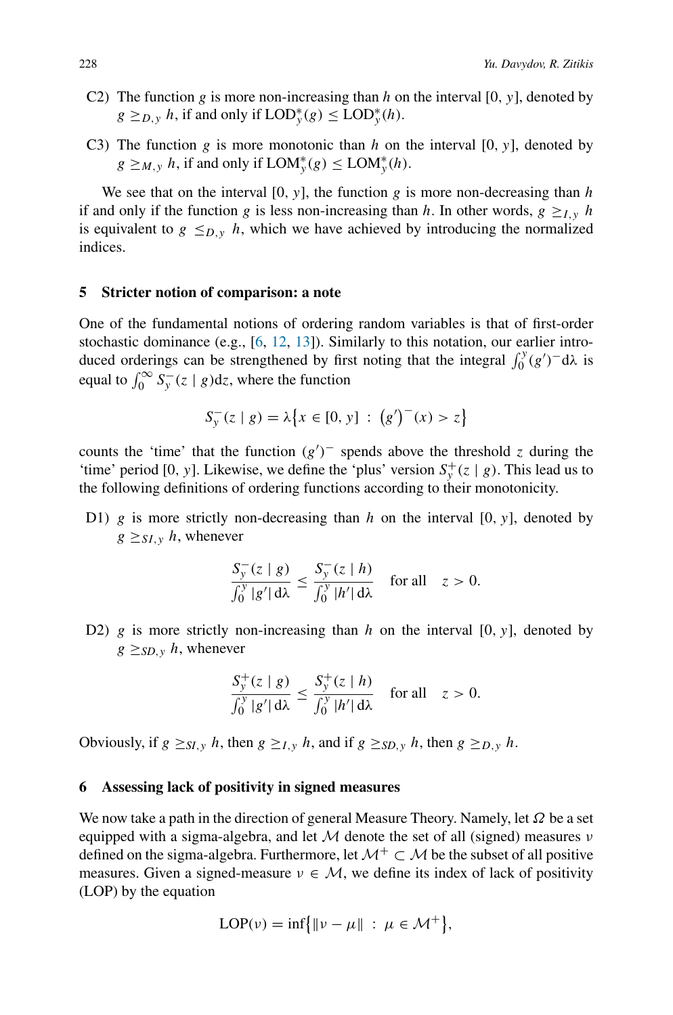- C2) The function *g* is more non-increasing than *h* on the interval [0, y], denoted by  $g \geq_{D,y} h$ , if and only if  $\text{LOD}_{y}^{*}(g) \leq \text{LOD}_{y}^{*}(h)$ .
- C3) The function *g* is more monotonic than *h* on the interval  $[0, y]$ , denoted by  $g \geq_{M,y} h$ , if and only if  $\text{LOM}_{y}^{*}(g) \leq \text{LOM}_{y}^{*}(h)$ .

We see that on the interval  $[0, y]$ , the function  $g$  is more non-decreasing than  $h$ if and only if the function *g* is less non-increasing than *h*. In other words,  $g \geq I_y$  *h* is equivalent to  $g \leq_{D,y} h$ , which we have achieved by introducing the normalized indices.

## <span id="page-9-0"></span>**5 Stricter notion of comparison: a note**

One of the fundamental notions of ordering random variables is that of first-order stochastic dominance (e.g., [\[6](#page-11-6), [12,](#page-12-14) [13](#page-12-1)]). Similarly to this notation, our earlier introduced orderings can be strengthened by first noting that the integral  $\int_0^y (g')^d dx$  is equal to  $\int_0^\infty S_y - (z \mid g) dz$ , where the function

$$
S_y^-(z \mid g) = \lambda \{ x \in [0, y] : (g')^-(x) > z \}
$$

counts the 'time' that the function  $(g')^-$  spends above the threshold *z* during the 'time' period [0, y]. Likewise, we define the 'plus' version  $S_y^+(z | g)$ . This lead us to the following definitions of ordering functions according to their monotonicity.

D1) *g* is more strictly non-decreasing than *h* on the interval [0*,y*], denoted by  $g \geq_{SL} \nu$  *h*, whenever

$$
\frac{S_{\mathbf{y}}(z \mid g)}{\int_0^y |g'| d\lambda} \le \frac{S_{\mathbf{y}}(z \mid h)}{\int_0^y |h'| d\lambda} \quad \text{for all} \quad z > 0.
$$

D2) *g* is more strictly non-increasing than *h* on the interval [0, y], denoted by  $g \geq_{SD, y} h$ , whenever

$$
\frac{S_y^+(z \mid g)}{\int_0^y |g'|\,d\lambda} \le \frac{S_y^+(z \mid h)}{\int_0^y |h'|\,d\lambda} \quad \text{for all} \quad z > 0.
$$

Obviously, if  $g \geq_{SI, y} h$ , then  $g \geq_{I, y} h$ , and if  $g \geq_{SD, y} h$ , then  $g \geq_{D, y} h$ .

## <span id="page-9-1"></span>**6 Assessing lack of positivity in signed measures**

We now take a path in the direction of general Measure Theory. Namely, let *Ω* be a set equipped with a sigma-algebra, and let M denote the set of all (signed) measures *ν* defined on the sigma-algebra. Furthermore, let  $\mathcal{M}^+ \subset \mathcal{M}$  be the subset of all positive measures. Given a signed-measure  $v \in M$ , we define its index of lack of positivity (LOP) by the equation

$$
LOP(\nu) = \inf \{ ||\nu - \mu|| \, : \, \mu \in \mathcal{M}^+ \},
$$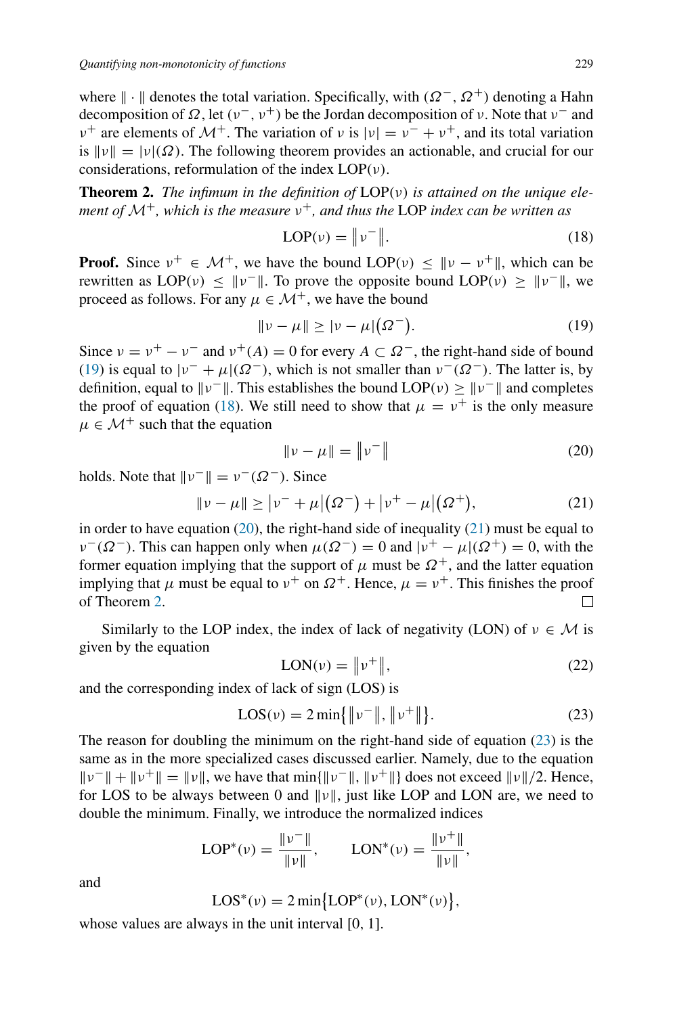where  $\| \cdot \|$  denotes the total variation. Specifically, with  $(\Omega^-, \Omega^+)$  denoting a Hahn decomposition of *Ω*, let *(ν*−*,ν*+*)* be the Jordan decomposition of *ν*. Note that *ν*<sup>−</sup> and *ν*<sup>+</sup> are elements of  $\mathcal{M}^+$ . The variation of *ν* is  $|v| = v^- + v^+$ , and its total variation is  $\|\nu\| = |\nu|(\Omega)$ . The following theorem provides an actionable, and crucial for our considerations, reformulation of the index LOP*(ν)*.

<span id="page-10-0"></span>**Theorem 2.** *The infimum in the definition of* LOP*(ν) is attained on the unique element of* <sup>M</sup>+*, which is the measure <sup>ν</sup>*+*, and thus the* LOP *index can be written as*

<span id="page-10-2"></span>
$$
LOP(\nu) = \|\nu^-\|.\tag{18}
$$

**Proof.** Since  $v^+ \in \mathcal{M}^+$ , we have the bound  $LOP(v) \le ||v - v^+||$ , which can be rewritten as  $LOP(v) \le ||v||$ . To prove the opposite bound  $LOP(v) \ge ||v||$ , we proceed as follows. For any  $\mu \in \mathcal{M}^+$ , we have the bound

<span id="page-10-1"></span>
$$
||\nu - \mu|| \ge |\nu - \mu|(\Omega^{-}).
$$
\n(19)

Since  $v = v^+ - v^-$  and  $v^+(A) = 0$  for every  $A \subset \Omega^-$ , the right-hand side of bound [\(19\)](#page-10-1) is equal to  $|\nu^{-} + \mu|(\Omega^{-})$ , which is not smaller than  $\nu^{-}(\Omega^{-})$ . The latter is, by definition, equal to  $\|\nu^-\|$ . This establishes the bound LOP( $\nu$ ) ≥  $\|\nu^-\|$  and completes the proof of equation [\(18\)](#page-10-2). We still need to show that  $\mu = v^+$  is the only measure  $\mu \in \mathcal{M}^+$  such that the equation

<span id="page-10-3"></span>
$$
\|\nu - \mu\| = \|\nu^-\|
$$
 (20)

holds. Note that  $\|\nu^{-}\| = \nu^{-}(\Omega^{-})$ . Since

<span id="page-10-4"></span>
$$
\|\nu - \mu\| \ge |\nu^- + \mu|(\Omega^-) + |\nu^+ - \mu|(\Omega^+),\tag{21}
$$

in order to have equation [\(20\)](#page-10-3), the right-hand side of inequality [\(21\)](#page-10-4) must be equal to  $\nu$ <sup>−</sup>( $\Omega$ <sup>−</sup>). This can happen only when  $\mu(\Omega$ <sup>−</sup>) = 0 and  $|\nu$ <sup>+</sup> −  $\mu$ |( $\Omega$ <sup>+</sup>) = 0, with the former equation implying that the support of  $\mu$  must be  $\Omega^+$ , and the latter equation implying that  $\mu$  must be equal to  $\nu^+$  on  $\Omega^+$ . Hence,  $\mu = \nu^+$ . This finishes the proof of Theorem [2.](#page-10-0) П

Similarly to the LOP index, the index of lack of negativity (LON) of  $v \in M$  is given by the equation

$$
LON(v) = \left\|v^{+}\right\|,\tag{22}
$$

and the corresponding index of lack of sign (LOS) is

<span id="page-10-5"></span>
$$
LOS(v) = 2 \min\{\|v^-\|, \|v^+\|\}.
$$
 (23)

The reason for doubling the minimum on the right-hand side of equation [\(23\)](#page-10-5) is the same as in the more specialized cases discussed earlier. Namely, due to the equation  $||v^-|| + ||v^+|| = ||v||$ , we have that min{ $||v^-||$ ,  $||v^+||$ } does not exceed  $||v||/2$ . Hence, for LOS to be always between 0 and  $\|\nu\|$ , just like LOP and LON are, we need to double the minimum. Finally, we introduce the normalized indices

$$
LOP^*(v) = \frac{\|v^-\|}{\|v\|}, \qquad LON^*(v) = \frac{\|v^+\|}{\|v\|},
$$

and

$$
LOS^*(\nu)=2\min\bigl\{LOP^*(\nu),LON^*(\nu)\bigr\},
$$

whose values are always in the unit interval [0*,* 1].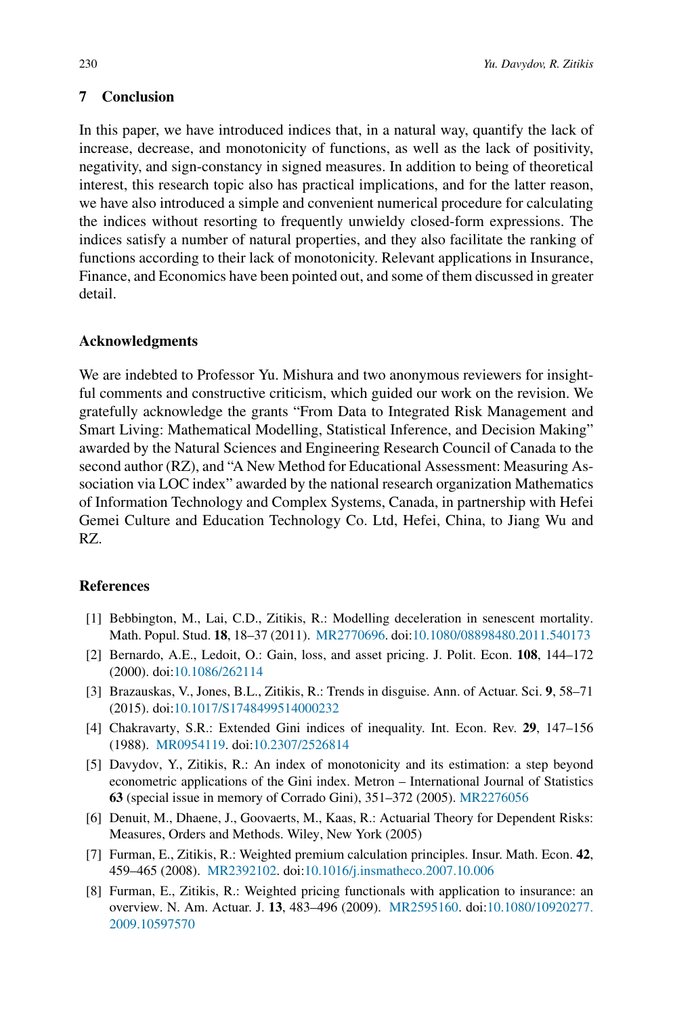# <span id="page-11-3"></span>**7 Conclusion**

In this paper, we have introduced indices that, in a natural way, quantify the lack of increase, decrease, and monotonicity of functions, as well as the lack of positivity, negativity, and sign-constancy in signed measures. In addition to being of theoretical interest, this research topic also has practical implications, and for the latter reason, we have also introduced a simple and convenient numerical procedure for calculating the indices without resorting to frequently unwieldy closed-form expressions. The indices satisfy a number of natural properties, and they also facilitate the ranking of functions according to their lack of monotonicity. Relevant applications in Insurance, Finance, and Economics have been pointed out, and some of them discussed in greater detail.

### **Acknowledgments**

We are indebted to Professor Yu. Mishura and two anonymous reviewers for insightful comments and constructive criticism, which guided our work on the revision. We gratefully acknowledge the grants "From Data to Integrated Risk Management and Smart Living: Mathematical Modelling, Statistical Inference, and Decision Making" awarded by the Natural Sciences and Engineering Research Council of Canada to the second author (RZ), and "A New Method for Educational Assessment: Measuring Association via LOC index" awarded by the national research organization Mathematics of Information Technology and Complex Systems, Canada, in partnership with Hefei Gemei Culture and Education Technology Co. Ltd, Hefei, China, to Jiang Wu and RZ.

# **References**

- <span id="page-11-1"></span>[1] Bebbington, M., Lai, C.D., Zitikis, R.: Modelling deceleration in senescent mortality. Math. Popul. Stud. **18**, 18–37 (2011). [MR2770696.](http://www.ams.org/mathscinet-getitem?mr=2770696) doi[:10.1080/08898480.2011.540173](https://doi.org/10.1080/08898480.2011.540173)
- <span id="page-11-7"></span>[2] Bernardo, A.E., Ledoit, O.: Gain, loss, and asset pricing. J. Polit. Econ. **108**, 144–172 (2000). doi[:10.1086/262114](https://doi.org/10.1086/262114)
- <span id="page-11-0"></span>[3] Brazauskas, V., Jones, B.L., Zitikis, R.: Trends in disguise. Ann. of Actuar. Sci. **9**, 58–71 (2015). doi[:10.1017/S1748499514000232](https://doi.org/10.1017/S1748499514000232)
- <span id="page-11-8"></span>[4] Chakravarty, S.R.: Extended Gini indices of inequality. Int. Econ. Rev. **29**, 147–156 (1988). [MR0954119.](http://www.ams.org/mathscinet-getitem?mr=0954119) doi[:10.2307/2526814](https://doi.org/10.2307/2526814)
- <span id="page-11-2"></span>[5] Davydov, Y., Zitikis, R.: An index of monotonicity and its estimation: a step beyond econometric applications of the Gini index. Metron – International Journal of Statistics **63** (special issue in memory of Corrado Gini), 351–372 (2005). [MR2276056](http://www.ams.org/mathscinet-getitem?mr=2276056)
- <span id="page-11-6"></span>[6] Denuit, M., Dhaene, J., Goovaerts, M., Kaas, R.: Actuarial Theory for Dependent Risks: Measures, Orders and Methods. Wiley, New York (2005)
- <span id="page-11-4"></span>[7] Furman, E., Zitikis, R.: Weighted premium calculation principles. Insur. Math. Econ. **42**, 459–465 (2008). [MR2392102.](http://www.ams.org/mathscinet-getitem?mr=2392102) doi[:10.1016/j.insmatheco.2007.10.006](https://doi.org/10.1016/j.insmatheco.2007.10.006)
- <span id="page-11-5"></span>[8] Furman, E., Zitikis, R.: Weighted pricing functionals with application to insurance: an overview. N. Am. Actuar. J. **13**, 483–496 (2009). [MR2595160.](http://www.ams.org/mathscinet-getitem?mr=2595160) doi[:10.1080/10920277.](https://doi.org/10.1080/10920277.2009.10597570) [2009.10597570](https://doi.org/10.1080/10920277.2009.10597570)